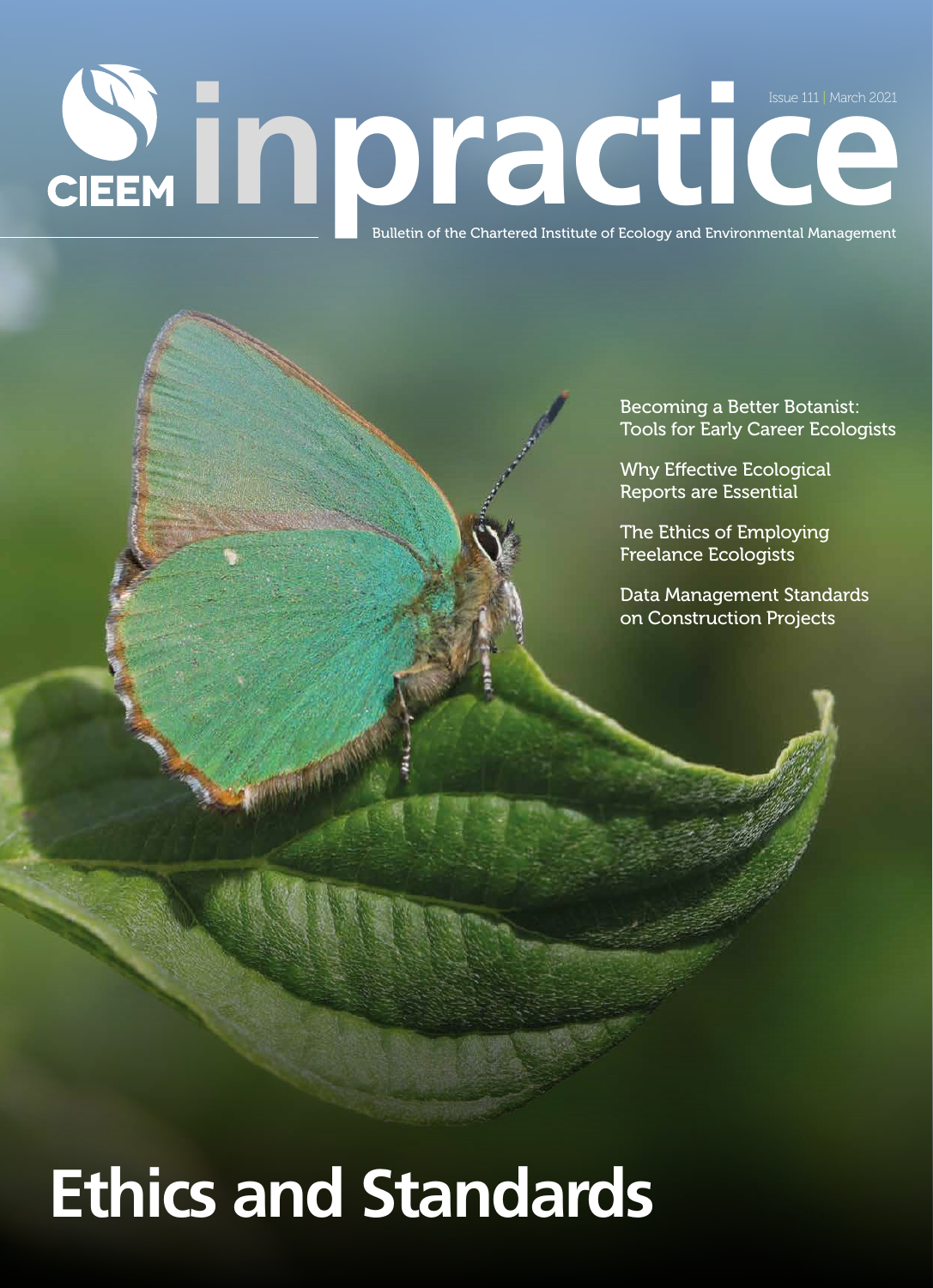# **issue 111 | March 2021**<br>Bulletin of the Chartered Institute of Ecology and Environmental Management Issue 111 | March 2021

Becoming a Better Botanist: Tools for Early Career Ecologists

Why Effective Ecological Reports are Essential

The Ethics of Employing Freelance Ecologists

Data Management Standards on Construction Projects

## **Ethics and Standards**